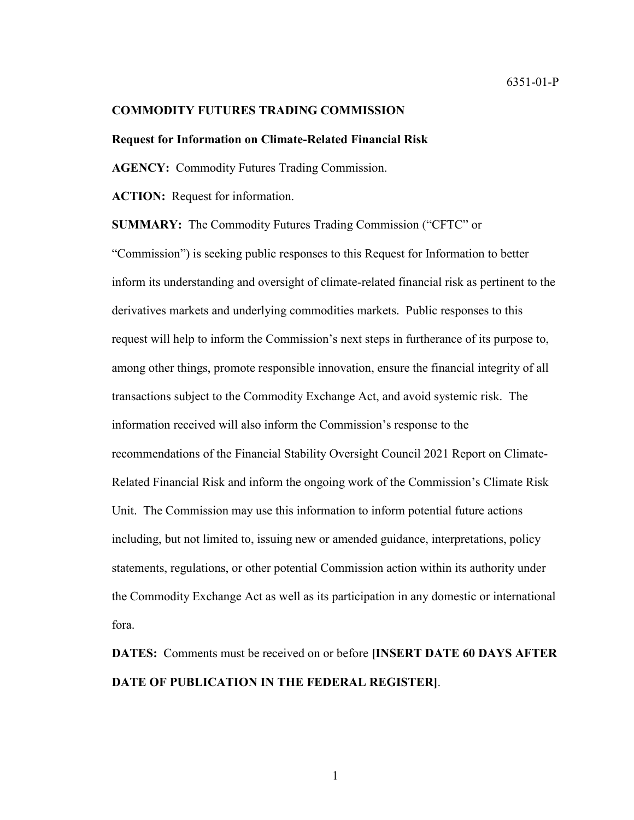#### **COMMODITY FUTURES TRADING COMMISSION**

#### **Request for Information on Climate-Related Financial Risk**

**AGENCY:** Commodity Futures Trading Commission.

**ACTION:** Request for information.

**SUMMARY:** The Commodity Futures Trading Commission ("CFTC" or

"Commission") is seeking public responses to this Request for Information to better inform its understanding and oversight of climate-related financial risk as pertinent to the derivatives markets and underlying commodities markets. Public responses to this request will help to inform the Commission's next steps in furtherance of its purpose to, among other things, promote responsible innovation, ensure the financial integrity of all transactions subject to the Commodity Exchange Act, and avoid systemic risk. The information received will also inform the Commission's response to the recommendations of the Financial Stability Oversight Council 2021 Report on Climate-Related Financial Risk and inform the ongoing work of the Commission's Climate Risk Unit. The Commission may use this information to inform potential future actions including, but not limited to, issuing new or amended guidance, interpretations, policy statements, regulations, or other potential Commission action within its authority under the Commodity Exchange Act as well as its participation in any domestic or international fora.

**DATES:** Comments must be received on or before **[INSERT DATE 60 DAYS AFTER DATE OF PUBLICATION IN THE FEDERAL REGISTER]**.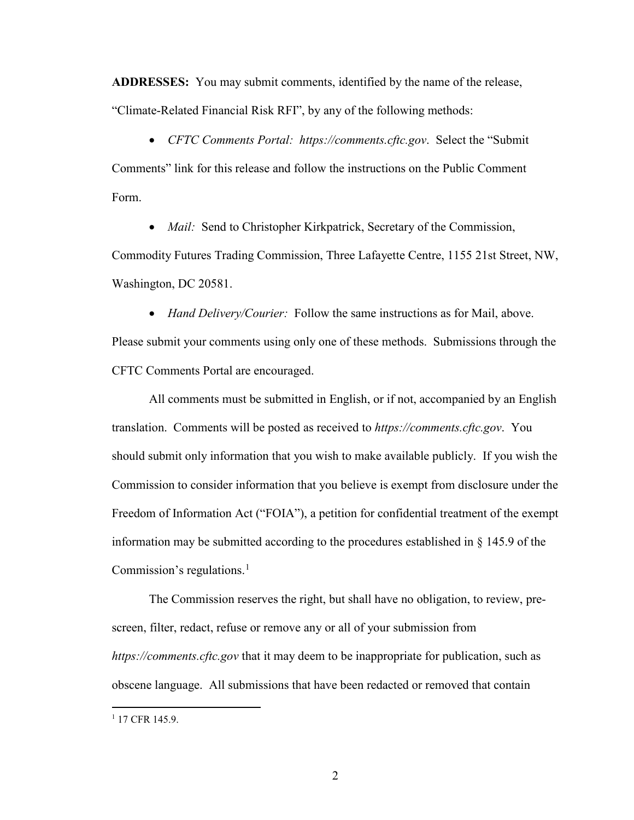**ADDRESSES:** You may submit comments, identified by the name of the release, "Climate-Related Financial Risk RFI", by any of the following methods:

• *CFTC Comments Portal: https://comments.cftc.gov*. Select the "Submit Comments" link for this release and follow the instructions on the Public Comment Form.

• *Mail:* Send to Christopher Kirkpatrick, Secretary of the Commission,

Commodity Futures Trading Commission, Three Lafayette Centre, 1155 21st Street, NW, Washington, DC 20581.

• *Hand Delivery/Courier:* Follow the same instructions as for Mail, above.

Please submit your comments using only one of these methods. Submissions through the CFTC Comments Portal are encouraged.

All comments must be submitted in English, or if not, accompanied by an English translation. Comments will be posted as received to *https://comments.cftc.gov*. You should submit only information that you wish to make available publicly. If you wish the Commission to consider information that you believe is exempt from disclosure under the Freedom of Information Act ("FOIA"), a petition for confidential treatment of the exempt information may be submitted according to the procedures established in § 145.9 of the Commission's regulations. $<sup>1</sup>$  $<sup>1</sup>$  $<sup>1</sup>$ </sup>

The Commission reserves the right, but shall have no obligation, to review, prescreen, filter, redact, refuse or remove any or all of your submission from *https://comments.cftc.gov* that it may deem to be inappropriate for publication, such as obscene language. All submissions that have been redacted or removed that contain

<span id="page-1-0"></span><sup>&</sup>lt;sup>1</sup> 17 CFR 145.9.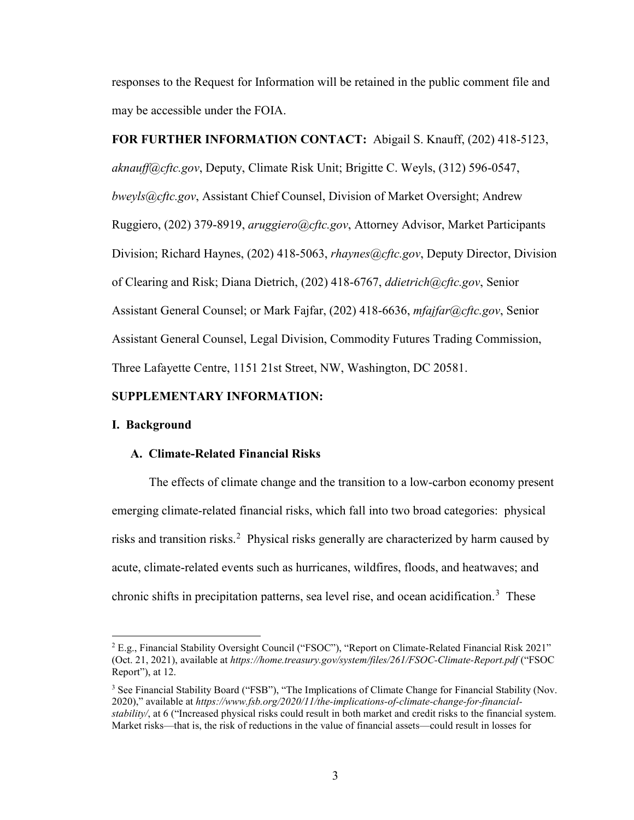responses to the Request for Information will be retained in the public comment file and may be accessible under the FOIA.

# **FOR FURTHER INFORMATION CONTACT:** Abigail S. Knauff, (202) 418-5123,

*[aknauff@cftc.gov](mailto:aknauff@cftc.gov)*, Deputy, Climate Risk Unit; Brigitte C. Weyls, (312) 596-0547, *bweyls@cftc.gov*, Assistant Chief Counsel, Division of Market Oversight; Andrew Ruggiero, (202) 379-8919, *aruggiero@cftc.gov*, Attorney Advisor, Market Participants Division; Richard Haynes, (202) 418-5063, *rhaynes@cftc.gov*, Deputy Director, Division of Clearing and Risk; Diana Dietrich, (202) 418-6767, *[ddietrich@cftc.gov](mailto:ddietrich@cftc.gov)*, Senior Assistant General Counsel; or Mark Fajfar, (202) 418-6636, *[mfajfar@cftc.gov](mailto:mfajfar@cftc.gov)*, Senior Assistant General Counsel, Legal Division, Commodity Futures Trading Commission, Three Lafayette Centre, 1151 21st Street, NW, Washington, DC 20581.

# **SUPPLEMENTARY INFORMATION:**

### **I. Background**

## **A. Climate-Related Financial Risks**

The effects of climate change and the transition to a low-carbon economy present emerging climate-related financial risks, which fall into two broad categories: physical risks and transition risks.<sup>[2](#page-2-0)</sup> Physical risks generally are characterized by harm caused by acute, climate-related events such as hurricanes, wildfires, floods, and heatwaves; and chronic shifts in precipitation patterns, sea level rise, and ocean acidification.<sup>[3](#page-2-1)</sup> These

<span id="page-2-0"></span> <sup>2</sup> E.g., Financial Stability Oversight Council ("FSOC"), "Report on Climate-Related Financial Risk 2021" (Oct. 21, 2021), available at *<https://home.treasury.gov/system/files/261/FSOC-Climate-Report.pdf>* ("FSOC Report"), at 12.

<span id="page-2-1"></span><sup>&</sup>lt;sup>3</sup> See Financial Stability Board ("FSB"), "The Implications of Climate Change for Financial Stability (Nov. 2020)," available at *[https://www.fsb.org/2020/11/the-implications-of-climate-change-for-financial](https://www.fsb.org/2020/11/the-implications-of-climate-change-for-financial-stability/)[stability/](https://www.fsb.org/2020/11/the-implications-of-climate-change-for-financial-stability/)*, at 6 ("Increased physical risks could result in both market and credit risks to the financial system. Market risks—that is, the risk of reductions in the value of financial assets—could result in losses for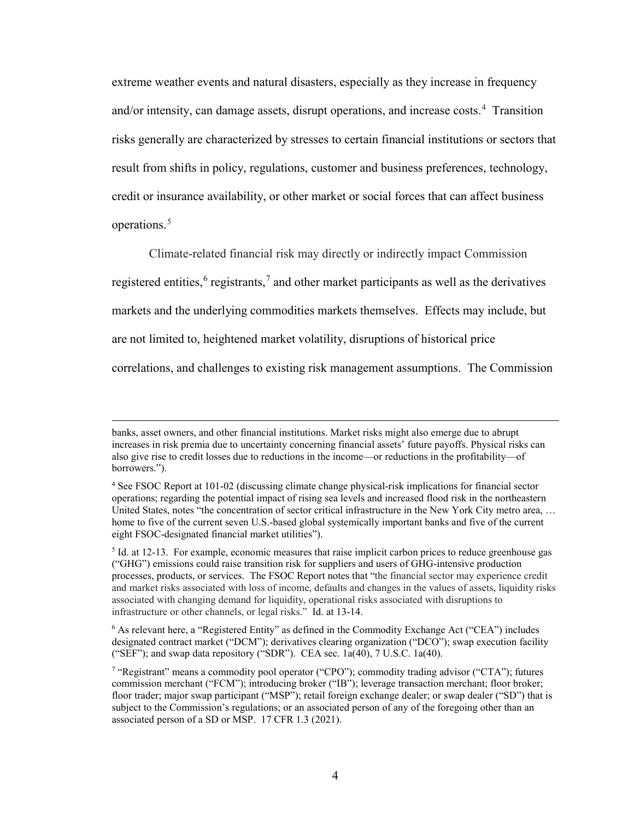extreme weather events and natural disasters, especially as they increase in frequency and/or intensity, can damage assets, disrupt operations, and increase costs.<sup>[4](#page-3-0)</sup> Transition risks generally are characterized by stresses to certain financial institutions or sectors that result from shifts in policy, regulations, customer and business preferences, technology, credit or insurance availability, or other market or social forces that can affect business operations.<sup>[5](#page-3-1)</sup>

Climate-related financial risk may directly or indirectly impact Commission registered entities,  $6$  registrants,  $7$  and other market participants as well as the derivatives markets and the underlying commodities markets themselves. Effects may include, but are not limited to, heightened market volatility, disruptions of historical price correlations, and challenges to existing risk management assumptions. The Commission

 $\overline{a}$ 

banks, asset owners, and other financial institutions. Market risks might also emerge due to abrupt increases in risk premia due to uncertainty concerning financial assets' future payoffs. Physical risks can also give rise to credit losses due to reductions in the income—or reductions in the profitability—of borrowers.").

<span id="page-3-0"></span><sup>4</sup> See FSOC Report at 101-02 (discussing climate change physical-risk implications for financial sector operations; regarding the potential impact of rising sea levels and increased flood risk in the northeastern United States, notes "the concentration of sector critical infrastructure in the New York City metro area, … home to five of the current seven U.S.-based global systemically important banks and five of the current eight FSOC-designated financial market utilities").

<span id="page-3-1"></span><sup>5</sup> Id. at 12-13. For example, economic measures that raise implicit carbon prices to reduce greenhouse gas ("GHG") emissions could raise transition risk for suppliers and users of GHG-intensive production processes, products, or services. The FSOC Report notes that "the financial sector may experience credit and market risks associated with loss of income, defaults and changes in the values of assets, liquidity risks associated with changing demand for liquidity, operational risks associated with disruptions to infrastructure or other channels, or legal risks." Id. at 13-14.

<span id="page-3-2"></span><sup>6</sup> As relevant here, a "Registered Entity" as defined in the Commodity Exchange Act ("CEA") includes designated contract market ("DCM"); derivatives clearing organization ("DCO"); swap execution facility ("SEF"); and swap data repository ("SDR"). CEA sec.  $1a(40)$ ,  $7 U.S.C. 1a(40)$ .

<span id="page-3-3"></span><sup>7</sup> "Registrant" means a commodity pool operator ("CPO"); commodity trading advisor ("CTA"); futures commission merchant ("FCM"); introducing broker ("IB"); leverage transaction merchant; floor broker; floor trader; major swap participant ("MSP"); retail foreign exchange dealer; or swap dealer ("SD") that is subject to the Commission's regulations; or an associated person of any of the foregoing other than an associated person of a SD or MSP. 17 CFR 1.3 (2021).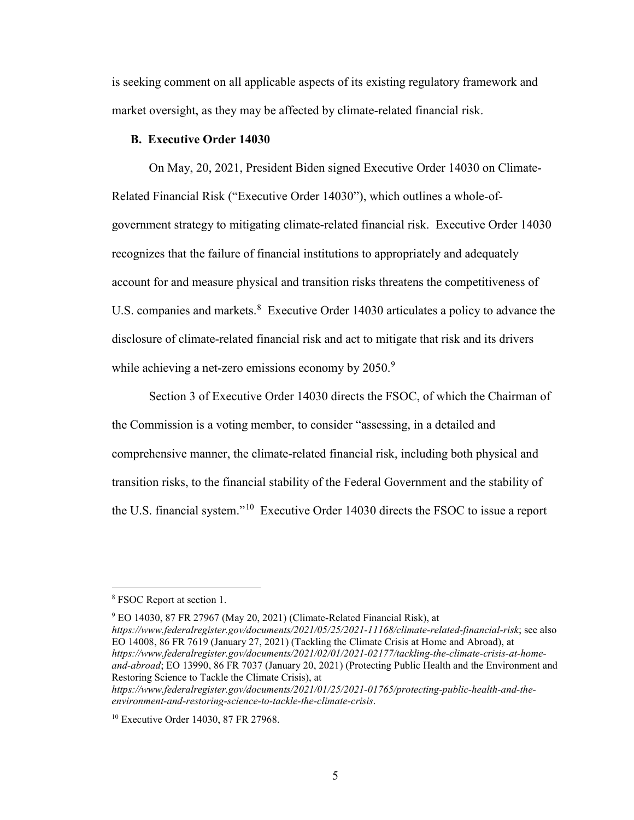is seeking comment on all applicable aspects of its existing regulatory framework and market oversight, as they may be affected by climate-related financial risk.

## **B. Executive Order 14030**

On May, 20, 2021, President Biden signed Executive Order 14030 on Climate-Related Financial Risk ("Executive Order 14030"), which outlines a whole-ofgovernment strategy to mitigating climate-related financial risk. Executive Order 14030 recognizes that the failure of financial institutions to appropriately and adequately account for and measure physical and transition risks threatens the competitiveness of U.S. companies and markets. $8 \text{ Executive Order } 14030$  $8 \text{ Executive Order } 14030$  articulates a policy to advance the disclosure of climate-related financial risk and act to mitigate that risk and its drivers while achieving a net-zero emissions economy by 2050.<sup>[9](#page-4-1)</sup>

Section 3 of Executive Order 14030 directs the FSOC, of which the Chairman of the Commission is a voting member, to consider "assessing, in a detailed and comprehensive manner, the climate-related financial risk, including both physical and transition risks, to the financial stability of the Federal Government and the stability of the U.S. financial system."[10](#page-4-2) Executive Order 14030 directs the FSOC to issue a report

 $9$  EO 14030, 87 FR 27967 (May 20, 2021) (Climate-Related Financial Risk), at

<span id="page-4-1"></span>*https://www.federalregister.gov/documents/2021/05/25/2021-11168/climate-related-financial-risk*; see also EO 14008, 86 FR 7619 (January 27, 2021) (Tackling the Climate Crisis at Home and Abroad), at *https://www.federalregister.gov/documents/2021/02/01/2021-02177/tackling-the-climate-crisis-at-homeand-abroad*; EO 13990, 86 FR 7037 (January 20, 2021) (Protecting Public Health and the Environment and Restoring Science to Tackle the Climate Crisis), at *https://www.federalregister.gov/documents/2021/01/25/2021-01765/protecting-public-health-and-theenvironment-and-restoring-science-to-tackle-the-climate-crisis*.

<span id="page-4-0"></span> <sup>8</sup> FSOC Report at section 1.

<span id="page-4-2"></span><sup>&</sup>lt;sup>10</sup> Executive Order 14030, 87 FR 27968.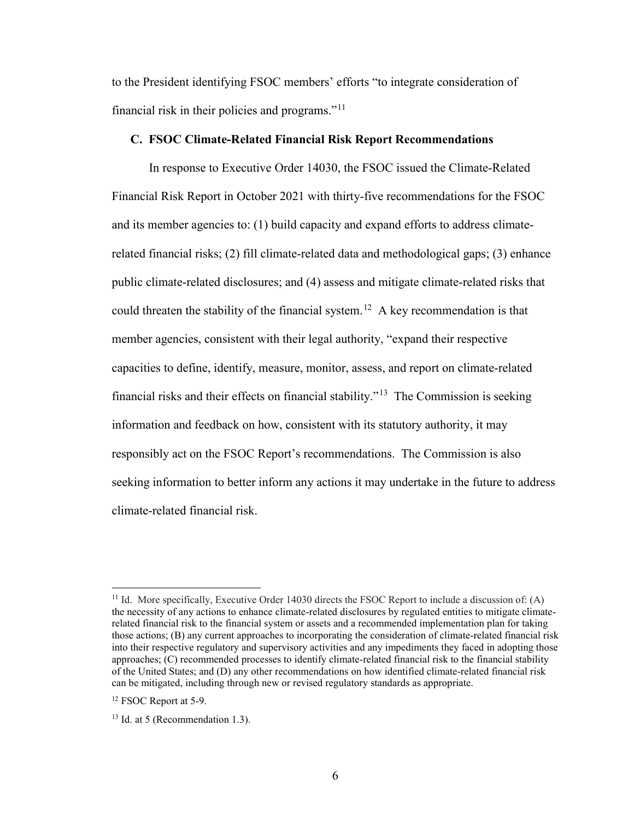to the President identifying FSOC members' efforts "to integrate consideration of financial risk in their policies and programs." $11$ 

## **C. FSOC Climate-Related Financial Risk Report Recommendations**

In response to Executive Order 14030, the FSOC issued the Climate-Related Financial Risk Report in October 2021 with thirty-five recommendations for the FSOC and its member agencies to: (1) build capacity and expand efforts to address climaterelated financial risks; (2) fill climate-related data and methodological gaps; (3) enhance public climate-related disclosures; and (4) assess and mitigate climate-related risks that could threaten the stability of the financial system.<sup>[12](#page-5-1)</sup> A key recommendation is that member agencies, consistent with their legal authority, "expand their respective capacities to define, identify, measure, monitor, assess, and report on climate-related financial risks and their effects on financial stability."<sup>[13](#page-5-2)</sup> The Commission is seeking information and feedback on how, consistent with its statutory authority, it may responsibly act on the FSOC Report's recommendations. The Commission is also seeking information to better inform any actions it may undertake in the future to address climate-related financial risk.

<span id="page-5-0"></span><sup>&</sup>lt;sup>11</sup> Id. More specifically, Executive Order 14030 directs the FSOC Report to include a discussion of: (A) the necessity of any actions to enhance climate-related disclosures by regulated entities to mitigate climaterelated financial risk to the financial system or assets and a recommended implementation plan for taking those actions; (B) any current approaches to incorporating the consideration of climate-related financial risk into their respective regulatory and supervisory activities and any impediments they faced in adopting those approaches; (C) recommended processes to identify climate-related financial risk to the financial stability of the United States; and (D) any other recommendations on how identified climate-related financial risk can be mitigated, including through new or revised regulatory standards as appropriate.

<span id="page-5-1"></span><sup>&</sup>lt;sup>12</sup> FSOC Report at 5-9.

<span id="page-5-2"></span> $13$  Id. at 5 (Recommendation 1.3).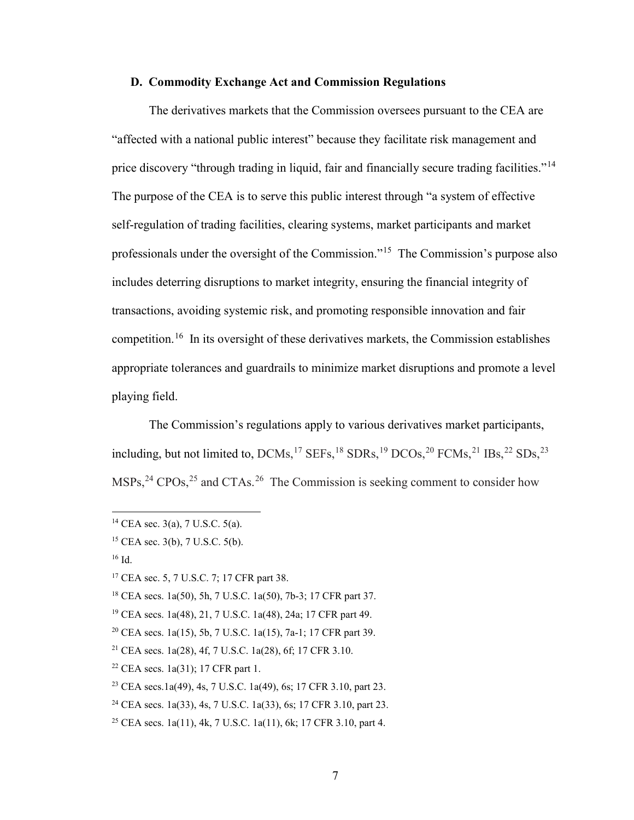# **D. Commodity Exchange Act and Commission Regulations**

The derivatives markets that the Commission oversees pursuant to the CEA are "affected with a national public interest" because they facilitate risk management and price discovery "through trading in liquid, fair and financially secure trading facilities."<sup>14</sup> The purpose of the CEA is to serve this public interest through "a system of effective self-regulation of trading facilities, clearing systems, market participants and market professionals under the oversight of the Commission."[15](#page-6-1) The Commission's purpose also includes deterring disruptions to market integrity, ensuring the financial integrity of transactions, avoiding systemic risk, and promoting responsible innovation and fair competition.[16](#page-6-2) In its oversight of these derivatives markets, the Commission establishes appropriate tolerances and guardrails to minimize market disruptions and promote a level playing field.

The Commission's regulations apply to various derivatives market participants, including, but not limited to,  $DCMs$ ,  $^{17}$  $^{17}$  $^{17}$  SEFs,  $^{18}$  $^{18}$  $^{18}$  SDRs,  $^{19}$  $^{19}$  $^{19}$  DCOs,  $^{20}$  $^{20}$  $^{20}$  FCMs,  $^{21}$  $^{21}$  $^{21}$  IBs,  $^{22}$  $^{22}$  $^{22}$  SDs,  $^{23}$  $^{23}$  $^{23}$  $MSPs<sup>24</sup>$  $MSPs<sup>24</sup>$  $MSPs<sup>24</sup>$  CPOs,<sup>[25](#page-6-11)</sup> and CTAs.<sup>26</sup> The Commission is seeking comment to consider how

<span id="page-6-2"></span><sup>16</sup> Id.

<span id="page-6-0"></span><sup>&</sup>lt;sup>14</sup> CEA sec. 3(a), 7 U.S.C. 5(a).

<span id="page-6-1"></span><sup>15</sup> CEA sec. 3(b), 7 U.S.C. 5(b).

<span id="page-6-3"></span><sup>&</sup>lt;sup>17</sup> CEA sec. 5, 7 U.S.C. 7; 17 CFR part 38.

<span id="page-6-4"></span><sup>18</sup> CEA secs. 1a(50), 5h, 7 U.S.C. 1a(50), 7b-3; 17 CFR part 37.

<span id="page-6-5"></span><sup>19</sup> CEA secs. 1a(48), 21, 7 U.S.C. 1a(48), 24a; 17 CFR part 49.

<span id="page-6-6"></span><sup>20</sup> CEA secs. 1a(15), 5b, 7 U.S.C. 1a(15), 7a-1; 17 CFR part 39.

<span id="page-6-7"></span><sup>21</sup> CEA secs. 1a(28), 4f, 7 U.S.C. 1a(28), 6f; 17 CFR 3.10.

<span id="page-6-12"></span><span id="page-6-8"></span><sup>&</sup>lt;sup>22</sup> CEA secs.  $1a(31)$ ; 17 CFR part 1.

<span id="page-6-9"></span><sup>23</sup> CEA secs.1a(49), 4s, 7 U.S.C. 1a(49), 6s; 17 CFR 3.10, part 23.

<span id="page-6-10"></span><sup>24</sup> CEA secs. 1a(33), 4s, 7 U.S.C. 1a(33), 6s; 17 CFR 3.10, part 23.

<span id="page-6-11"></span><sup>25</sup> CEA secs. 1a(11), 4k, 7 U.S.C. 1a(11), 6k; 17 CFR 3.10, part 4.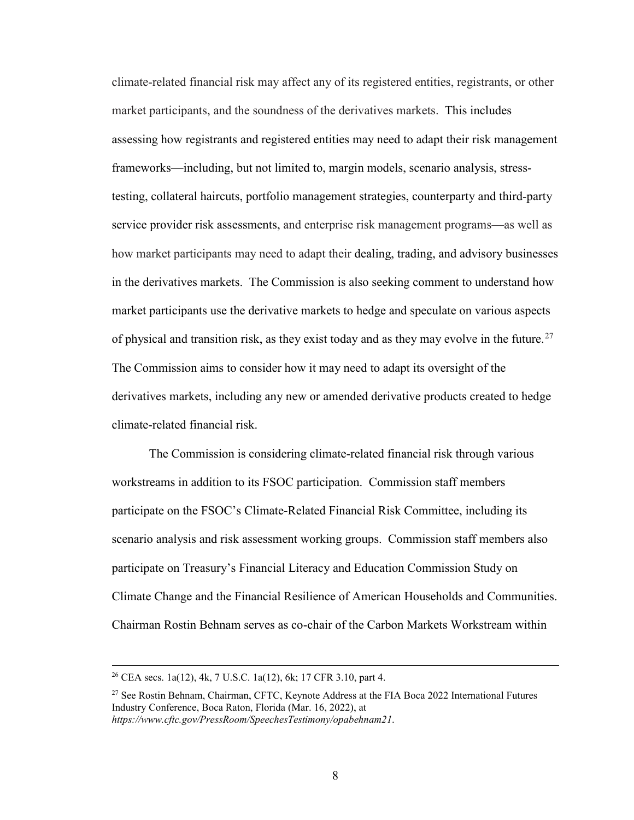climate-related financial risk may affect any of its registered entities, registrants, or other market participants, and the soundness of the derivatives markets. This includes assessing how registrants and registered entities may need to adapt their risk management frameworks—including, but not limited to, margin models, scenario analysis, stresstesting, collateral haircuts, portfolio management strategies, counterparty and third-party service provider risk assessments, and enterprise risk management programs—as well as how market participants may need to adapt their dealing, trading, and advisory businesses in the derivatives markets. The Commission is also seeking comment to understand how market participants use the derivative markets to hedge and speculate on various aspects of physical and transition risk, as they exist today and as they may evolve in the future.<sup>27</sup> The Commission aims to consider how it may need to adapt its oversight of the derivatives markets, including any new or amended derivative products created to hedge climate-related financial risk.

The Commission is considering climate-related financial risk through various workstreams in addition to its FSOC participation. Commission staff members participate on the FSOC's Climate-Related Financial Risk Committee, including its scenario analysis and risk assessment working groups. Commission staff members also participate on Treasury's Financial Literacy and Education Commission Study on Climate Change and the Financial Resilience of American Households and Communities. Chairman Rostin Behnam serves as co-chair of the Carbon Markets Workstream within

 <sup>26</sup> CEA secs. 1a(12), 4k, 7 U.S.C. 1a(12), 6k; 17 CFR 3.10, part 4.

<span id="page-7-0"></span><sup>&</sup>lt;sup>27</sup> See Rostin Behnam, Chairman, CFTC, Keynote Address at the FIA Boca 2022 International Futures Industry Conference, Boca Raton, Florida (Mar. 16, 2022), at *<https://www.cftc.gov/PressRoom/SpeechesTestimony/opabehnam21>*.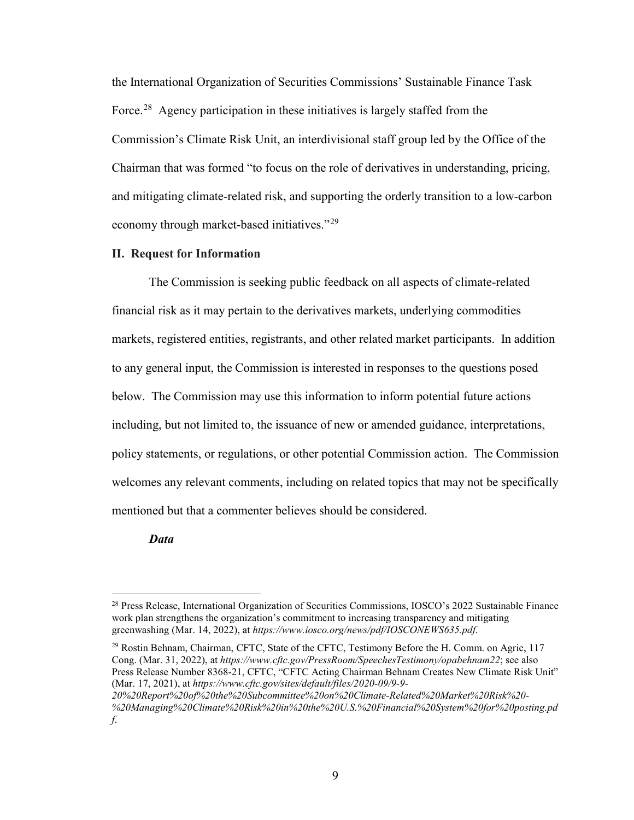the International Organization of Securities Commissions' Sustainable Finance Task Force.<sup>[28](#page-8-0)</sup> Agency participation in these initiatives is largely staffed from the Commission's Climate Risk Unit, an interdivisional staff group led by the Office of the Chairman that was formed "to focus on the role of derivatives in understanding, pricing, and mitigating climate-related risk, and supporting the orderly transition to a low-carbon economy through market-based initiatives."[29](#page-8-1)

## **II. Request for Information**

The Commission is seeking public feedback on all aspects of climate-related financial risk as it may pertain to the derivatives markets, underlying commodities markets, registered entities, registrants, and other related market participants. In addition to any general input, the Commission is interested in responses to the questions posed below. The Commission may use this information to inform potential future actions including, but not limited to, the issuance of new or amended guidance, interpretations, policy statements, or regulations, or other potential Commission action. The Commission welcomes any relevant comments, including on related topics that may not be specifically mentioned but that a commenter believes should be considered.

*Data*

<span id="page-8-0"></span><sup>&</sup>lt;sup>28</sup> Press Release, International Organization of Securities Commissions, IOSCO's 2022 Sustainable Finance work plan strengthens the organization's commitment to increasing transparency and mitigating greenwashing (Mar. 14, 2022), at *<https://www.iosco.org/news/pdf/IOSCONEWS635.pdf>*.

<span id="page-8-1"></span><sup>&</sup>lt;sup>29</sup> Rostin Behnam, Chairman, CFTC, State of the CFTC, Testimony Before the H. Comm. on Agric, 117 Cong. (Mar. 31, 2022), at *<https://www.cftc.gov/PressRoom/SpeechesTestimony/opabehnam22>*; see also Press Release Number 8368-21, CFTC, "CFTC Acting Chairman Behnam Creates New Climate Risk Unit" (Mar. 17, 2021), at *[https://www.cftc.gov/sites/default/files/2020-09/9-9-](https://www.cftc.gov/sites/default/files/2020-09/9-9-20%20Report%20of%20the%20Subcommittee%20on%20Climate-Related%20Market%20Risk%20-%20Managing%20Climate%20Risk%20in%20the%20U.S.%20Financial%20System%20for%20posting.pdf.)*

*[<sup>20%20</sup>Report%20of%20the%20Subcommittee%20on%20Climate-Related%20Market%20Risk%20-](https://www.cftc.gov/sites/default/files/2020-09/9-9-20%20Report%20of%20the%20Subcommittee%20on%20Climate-Related%20Market%20Risk%20-%20Managing%20Climate%20Risk%20in%20the%20U.S.%20Financial%20System%20for%20posting.pdf.) [%20Managing%20Climate%20Risk%20in%20the%20U.S.%20Financial%20System%20for%20posting.pd](https://www.cftc.gov/sites/default/files/2020-09/9-9-20%20Report%20of%20the%20Subcommittee%20on%20Climate-Related%20Market%20Risk%20-%20Managing%20Climate%20Risk%20in%20the%20U.S.%20Financial%20System%20for%20posting.pdf.) [f](https://www.cftc.gov/sites/default/files/2020-09/9-9-20%20Report%20of%20the%20Subcommittee%20on%20Climate-Related%20Market%20Risk%20-%20Managing%20Climate%20Risk%20in%20the%20U.S.%20Financial%20System%20for%20posting.pdf.)*.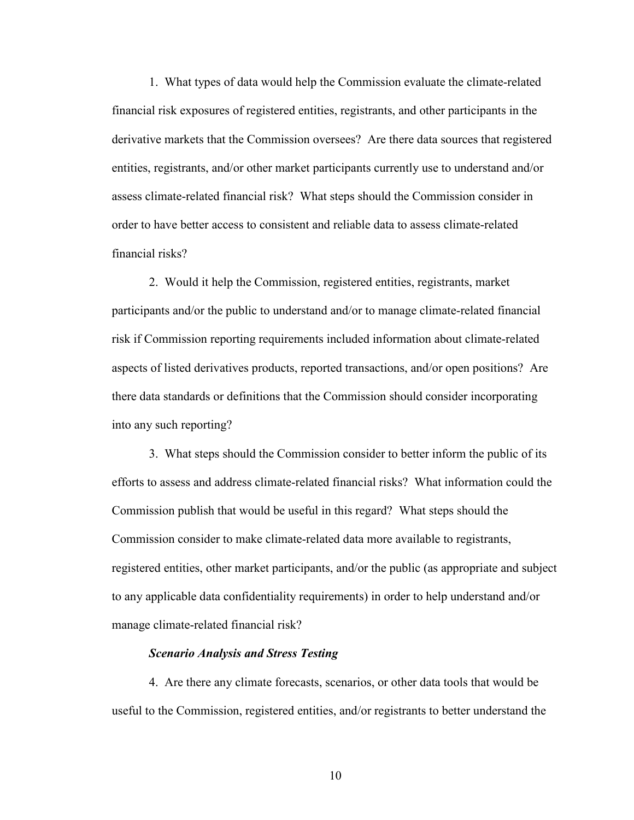1. What types of data would help the Commission evaluate the climate-related financial risk exposures of registered entities, registrants, and other participants in the derivative markets that the Commission oversees? Are there data sources that registered entities, registrants, and/or other market participants currently use to understand and/or assess climate-related financial risk? What steps should the Commission consider in order to have better access to consistent and reliable data to assess climate-related financial risks?

2. Would it help the Commission, registered entities, registrants, market participants and/or the public to understand and/or to manage climate-related financial risk if Commission reporting requirements included information about climate-related aspects of listed derivatives products, reported transactions, and/or open positions? Are there data standards or definitions that the Commission should consider incorporating into any such reporting?

3. What steps should the Commission consider to better inform the public of its efforts to assess and address climate-related financial risks? What information could the Commission publish that would be useful in this regard? What steps should the Commission consider to make climate-related data more available to registrants, registered entities, other market participants, and/or the public (as appropriate and subject to any applicable data confidentiality requirements) in order to help understand and/or manage climate-related financial risk?

#### *Scenario Analysis and Stress Testing*

4. Are there any climate forecasts, scenarios, or other data tools that would be useful to the Commission, registered entities, and/or registrants to better understand the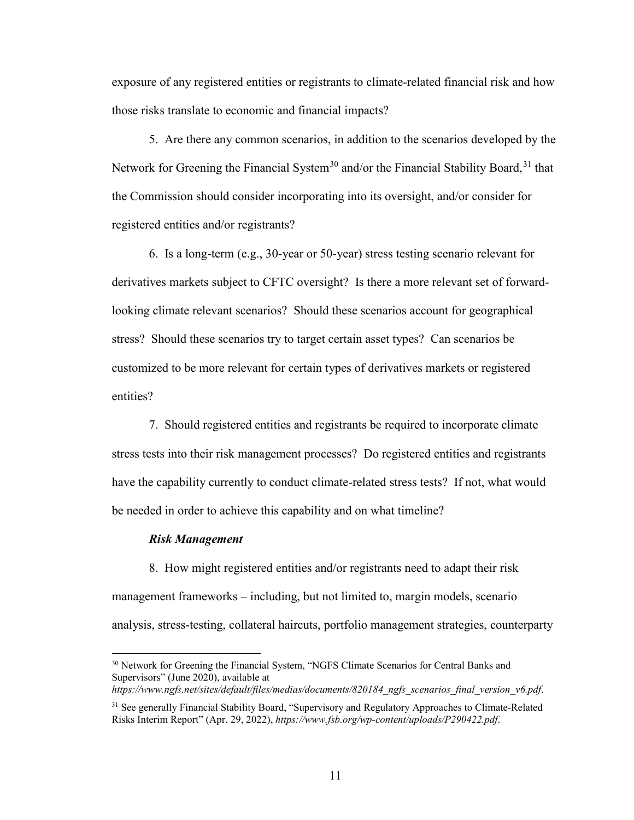exposure of any registered entities or registrants to climate-related financial risk and how those risks translate to economic and financial impacts?

5. Are there any common scenarios, in addition to the scenarios developed by the Network for Greening the Financial System<sup>[30](#page-10-0)</sup> and/or the Financial Stability Board,  $31$  that the Commission should consider incorporating into its oversight, and/or consider for registered entities and/or registrants?

6. Is a long-term (e.g., 30-year or 50-year) stress testing scenario relevant for derivatives markets subject to CFTC oversight? Is there a more relevant set of forwardlooking climate relevant scenarios? Should these scenarios account for geographical stress? Should these scenarios try to target certain asset types? Can scenarios be customized to be more relevant for certain types of derivatives markets or registered entities?

7. Should registered entities and registrants be required to incorporate climate stress tests into their risk management processes? Do registered entities and registrants have the capability currently to conduct climate-related stress tests? If not, what would be needed in order to achieve this capability and on what timeline?

#### *Risk Management*

8. How might registered entities and/or registrants need to adapt their risk management frameworks – including, but not limited to, margin models, scenario analysis, stress-testing, collateral haircuts, portfolio management strategies, counterparty

<span id="page-10-0"></span><sup>&</sup>lt;sup>30</sup> Network for Greening the Financial System, "NGFS Climate Scenarios for Central Banks and Supervisors" (June 2020), available at

*[https://www.ngfs.net/sites/default/files/medias/documents/820184\\_ngfs\\_scenarios\\_final\\_version\\_v6.pdf](https://www.ngfs.net/sites/default/files/medias/documents/820184_ngfs_scenarios_final_version_v6.pdf)*.

<span id="page-10-1"></span><sup>&</sup>lt;sup>31</sup> See generally Financial Stability Board, "Supervisory and Regulatory Approaches to Climate-Related Risks Interim Report" (Apr. 29, 2022), *<https://www.fsb.org/wp-content/uploads/P290422.pdf>*.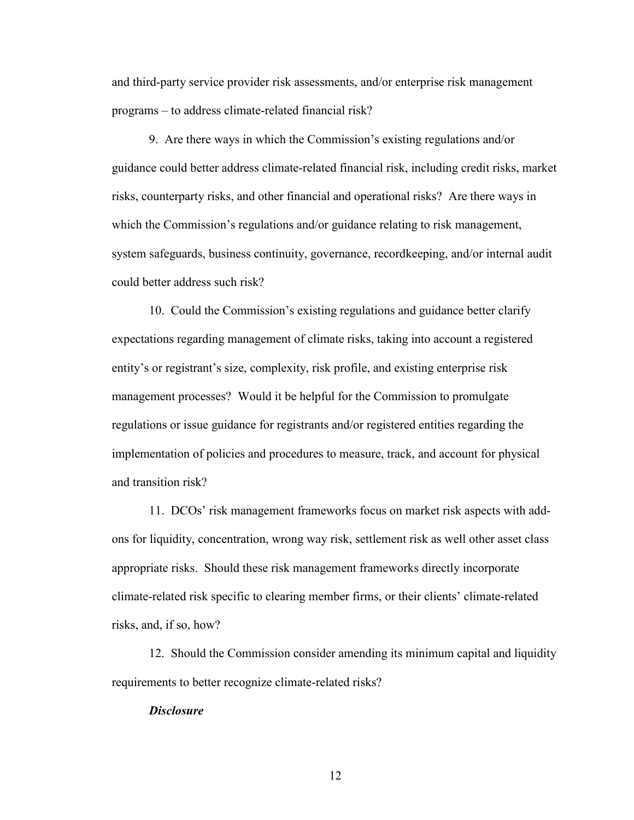and third-party service provider risk assessments, and/or enterprise risk management programs – to address climate-related financial risk?

9. Are there ways in which the Commission's existing regulations and/or guidance could better address climate-related financial risk, including credit risks, market risks, counterparty risks, and other financial and operational risks? Are there ways in which the Commission's regulations and/or guidance relating to risk management, system safeguards, business continuity, governance, recordkeeping, and/or internal audit could better address such risk?

10. Could the Commission's existing regulations and guidance better clarify expectations regarding management of climate risks, taking into account a registered entity's or registrant's size, complexity, risk profile, and existing enterprise risk management processes? Would it be helpful for the Commission to promulgate regulations or issue guidance for registrants and/or registered entities regarding the implementation of policies and procedures to measure, track, and account for physical and transition risk?

11. DCOs' risk management frameworks focus on market risk aspects with addons for liquidity, concentration, wrong way risk, settlement risk as well other asset class appropriate risks. Should these risk management frameworks directly incorporate climate-related risk specific to clearing member firms, or their clients' climate-related risks, and, if so, how?

12. Should the Commission consider amending its minimum capital and liquidity requirements to better recognize climate-related risks?

#### *Disclosure*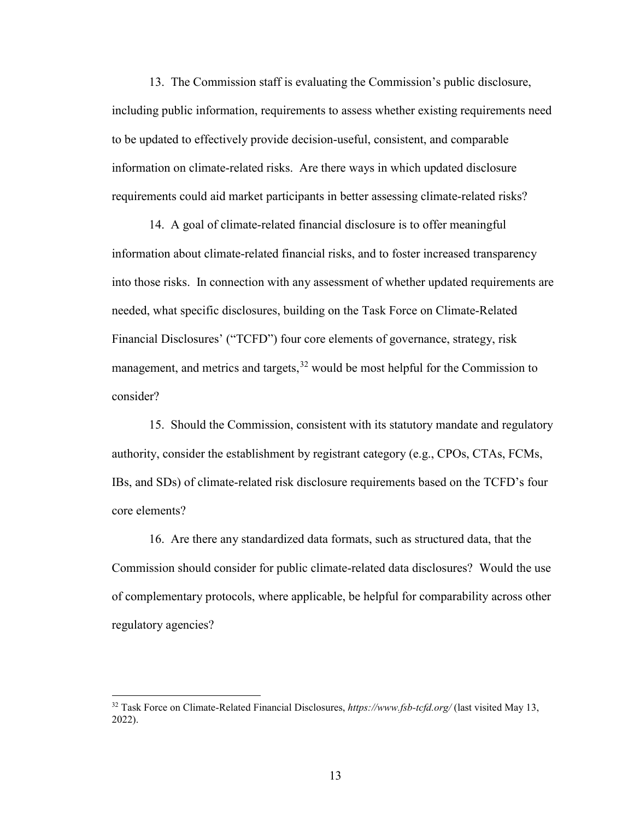13. The Commission staff is evaluating the Commission's public disclosure, including public information, requirements to assess whether existing requirements need to be updated to effectively provide decision-useful, consistent, and comparable information on climate-related risks. Are there ways in which updated disclosure requirements could aid market participants in better assessing climate-related risks?

14. A goal of climate-related financial disclosure is to offer meaningful information about climate-related financial risks, and to foster increased transparency into those risks. In connection with any assessment of whether updated requirements are needed, what specific disclosures, building on the Task Force on Climate-Related Financial Disclosures' ("TCFD") four core elements of governance, strategy, risk management, and metrics and targets,  $32$  would be most helpful for the Commission to consider?

15. Should the Commission, consistent with its statutory mandate and regulatory authority, consider the establishment by registrant category (e.g., CPOs, CTAs, FCMs, IBs, and SDs) of climate-related risk disclosure requirements based on the TCFD's four core elements?

16. Are there any standardized data formats, such as structured data, that the Commission should consider for public climate-related data disclosures? Would the use of complementary protocols, where applicable, be helpful for comparability across other regulatory agencies?

<span id="page-12-0"></span> <sup>32</sup> Task Force on Climate-Related Financial Disclosures, *<https://www.fsb-tcfd.org/>* (last visited May 13, 2022).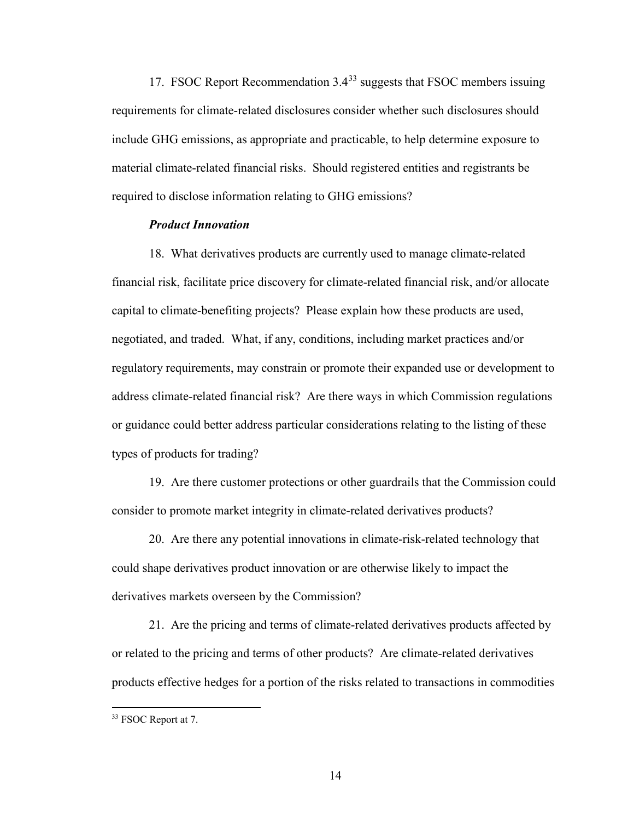17. FSOC Report Recommendation  $3.4^{33}$  $3.4^{33}$  $3.4^{33}$  suggests that FSOC members issuing requirements for climate-related disclosures consider whether such disclosures should include GHG emissions, as appropriate and practicable, to help determine exposure to material climate-related financial risks. Should registered entities and registrants be required to disclose information relating to GHG emissions?

## *Product Innovation*

18. What derivatives products are currently used to manage climate-related financial risk, facilitate price discovery for climate-related financial risk, and/or allocate capital to climate-benefiting projects? Please explain how these products are used, negotiated, and traded. What, if any, conditions, including market practices and/or regulatory requirements, may constrain or promote their expanded use or development to address climate-related financial risk? Are there ways in which Commission regulations or guidance could better address particular considerations relating to the listing of these types of products for trading?

19. Are there customer protections or other guardrails that the Commission could consider to promote market integrity in climate-related derivatives products?

20. Are there any potential innovations in climate-risk-related technology that could shape derivatives product innovation or are otherwise likely to impact the derivatives markets overseen by the Commission?

21. Are the pricing and terms of climate-related derivatives products affected by or related to the pricing and terms of other products? Are climate-related derivatives products effective hedges for a portion of the risks related to transactions in commodities

<span id="page-13-0"></span> <sup>33</sup> FSOC Report at 7.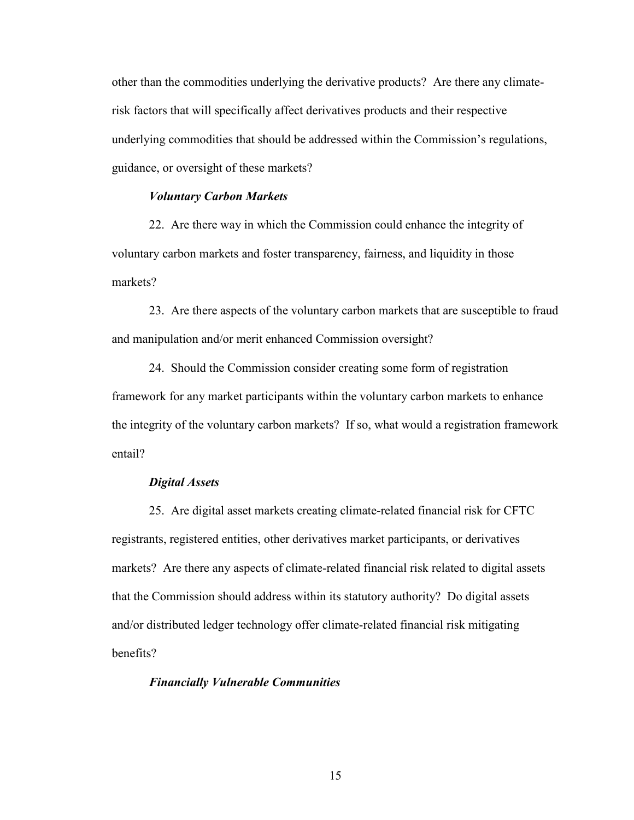other than the commodities underlying the derivative products? Are there any climaterisk factors that will specifically affect derivatives products and their respective underlying commodities that should be addressed within the Commission's regulations, guidance, or oversight of these markets?

# *Voluntary Carbon Markets*

22. Are there way in which the Commission could enhance the integrity of voluntary carbon markets and foster transparency, fairness, and liquidity in those markets?

23. Are there aspects of the voluntary carbon markets that are susceptible to fraud and manipulation and/or merit enhanced Commission oversight?

24. Should the Commission consider creating some form of registration framework for any market participants within the voluntary carbon markets to enhance the integrity of the voluntary carbon markets? If so, what would a registration framework entail?

#### *Digital Assets*

25. Are digital asset markets creating climate-related financial risk for CFTC registrants, registered entities, other derivatives market participants, or derivatives markets? Are there any aspects of climate-related financial risk related to digital assets that the Commission should address within its statutory authority? Do digital assets and/or distributed ledger technology offer climate-related financial risk mitigating benefits?

#### *Financially Vulnerable Communities*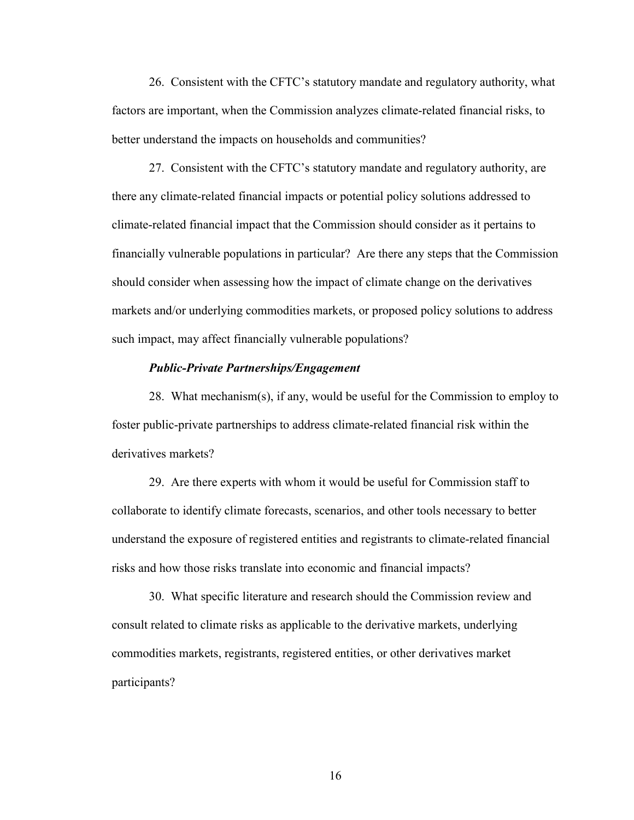26. Consistent with the CFTC's statutory mandate and regulatory authority, what factors are important, when the Commission analyzes climate-related financial risks, to better understand the impacts on households and communities?

27. Consistent with the CFTC's statutory mandate and regulatory authority, are there any climate-related financial impacts or potential policy solutions addressed to climate-related financial impact that the Commission should consider as it pertains to financially vulnerable populations in particular? Are there any steps that the Commission should consider when assessing how the impact of climate change on the derivatives markets and/or underlying commodities markets, or proposed policy solutions to address such impact, may affect financially vulnerable populations?

#### *Public-Private Partnerships/Engagement*

28. What mechanism(s), if any, would be useful for the Commission to employ to foster public-private partnerships to address climate-related financial risk within the derivatives markets?

29. Are there experts with whom it would be useful for Commission staff to collaborate to identify climate forecasts, scenarios, and other tools necessary to better understand the exposure of registered entities and registrants to climate-related financial risks and how those risks translate into economic and financial impacts?

30. What specific literature and research should the Commission review and consult related to climate risks as applicable to the derivative markets, underlying commodities markets, registrants, registered entities, or other derivatives market participants?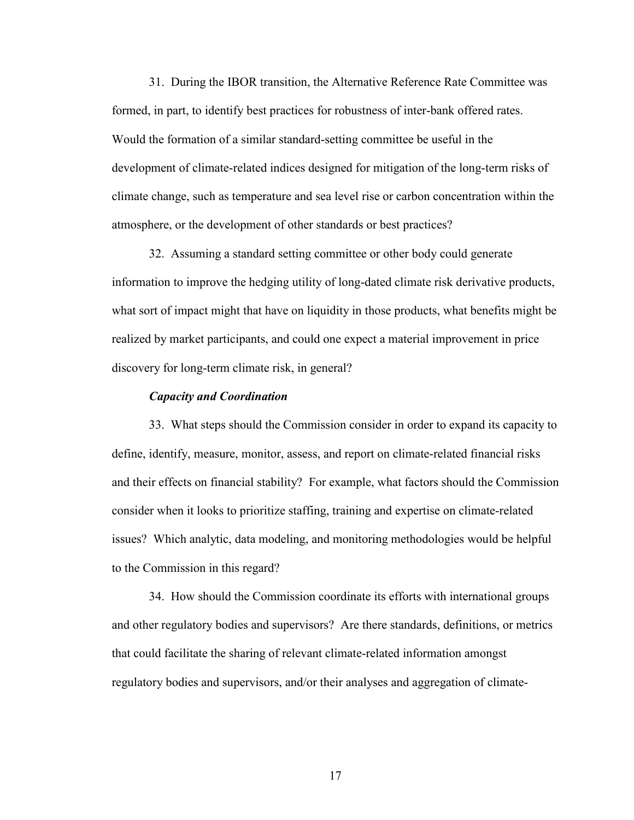31. During the IBOR transition, the Alternative Reference Rate Committee was formed, in part, to identify best practices for robustness of inter-bank offered rates. Would the formation of a similar standard-setting committee be useful in the development of climate-related indices designed for mitigation of the long-term risks of climate change, such as temperature and sea level rise or carbon concentration within the atmosphere, or the development of other standards or best practices?

32. Assuming a standard setting committee or other body could generate information to improve the hedging utility of long-dated climate risk derivative products, what sort of impact might that have on liquidity in those products, what benefits might be realized by market participants, and could one expect a material improvement in price discovery for long-term climate risk, in general?

#### *Capacity and Coordination*

33. What steps should the Commission consider in order to expand its capacity to define, identify, measure, monitor, assess, and report on climate-related financial risks and their effects on financial stability? For example, what factors should the Commission consider when it looks to prioritize staffing, training and expertise on climate-related issues? Which analytic, data modeling, and monitoring methodologies would be helpful to the Commission in this regard?

34. How should the Commission coordinate its efforts with international groups and other regulatory bodies and supervisors? Are there standards, definitions, or metrics that could facilitate the sharing of relevant climate-related information amongst regulatory bodies and supervisors, and/or their analyses and aggregation of climate-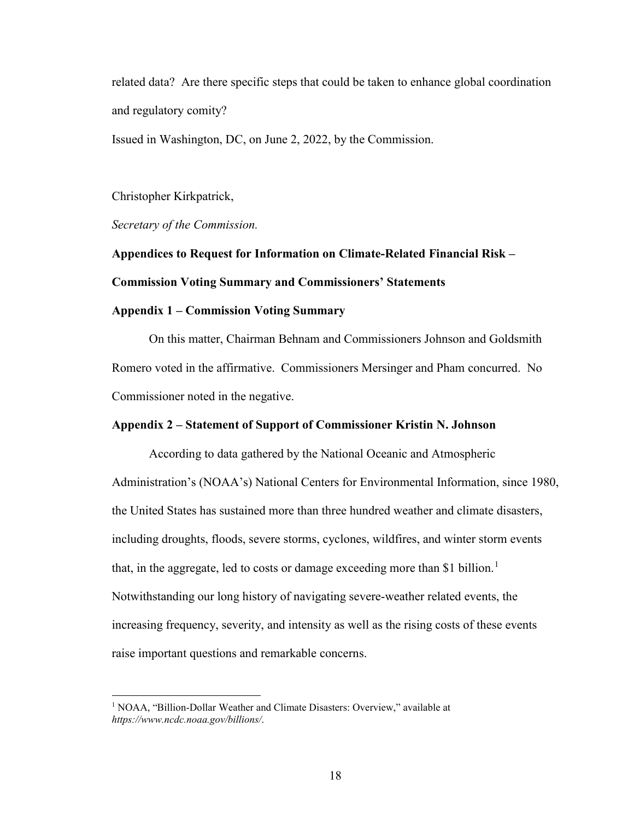related data? Are there specific steps that could be taken to enhance global coordination and regulatory comity?

Issued in Washington, DC, on June 2, 2022, by the Commission.

Christopher Kirkpatrick,

*Secretary of the Commission.*

**Appendices to Request for Information on Climate-Related Financial Risk – Commission Voting Summary and Commissioners' Statements**

## **Appendix 1 – Commission Voting Summary**

On this matter, Chairman Behnam and Commissioners Johnson and Goldsmith Romero voted in the affirmative. Commissioners Mersinger and Pham concurred. No Commissioner noted in the negative.

# **Appendix 2 – Statement of Support of Commissioner Kristin N. Johnson**

According to data gathered by the National Oceanic and Atmospheric Administration's (NOAA's) National Centers for Environmental Information, since 1980, the United States has sustained more than three hundred weather and climate disasters, including droughts, floods, severe storms, cyclones, wildfires, and winter storm events that, in the aggregate, led to costs or damage exceeding more than \$[1](#page-17-0) billion.<sup>1</sup> Notwithstanding our long history of navigating severe-weather related events, the increasing frequency, severity, and intensity as well as the rising costs of these events raise important questions and remarkable concerns.

<span id="page-17-0"></span><sup>&</sup>lt;sup>1</sup> NOAA, "Billion-Dollar Weather and Climate Disasters: Overview," available at *https://www.ncdc.noaa.gov/billions/*.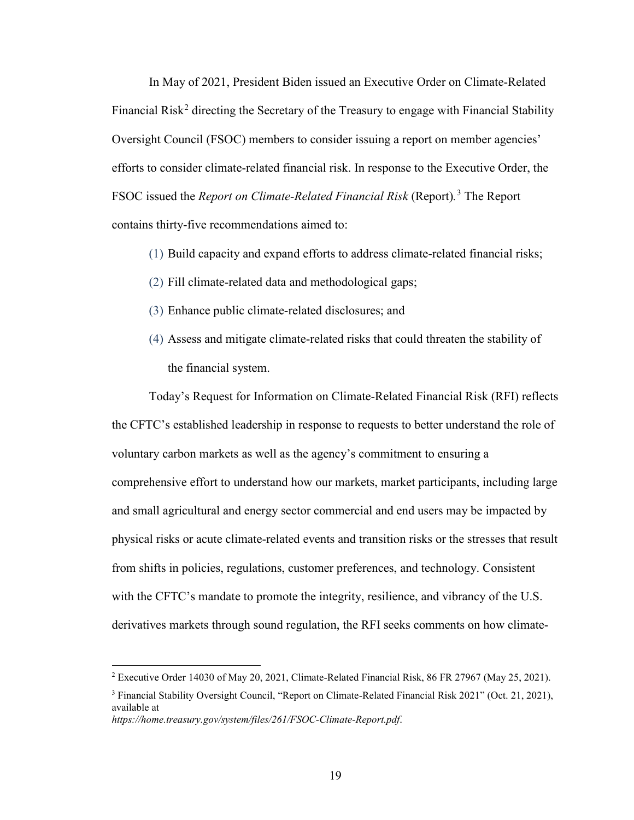In May of 2021, President Biden issued an Executive Order on Climate-Related Financial Risk<sup>[2](#page-18-0)</sup> directing the Secretary of the Treasury to engage with Financial Stability Oversight Council (FSOC) members to consider issuing a report on member agencies' efforts to consider climate-related financial risk. In response to the Executive Order, the FSOC issued the *Report on Climate-Related Financial Risk* (Report)*.* [3](#page-18-1) The Report contains thirty-five recommendations aimed to:

- (1) Build capacity and expand efforts to address climate-related financial risks;
- (2) Fill climate-related data and methodological gaps;
- (3) Enhance public climate-related disclosures; and
- (4) Assess and mitigate climate-related risks that could threaten the stability of the financial system.

Today's Request for Information on Climate-Related Financial Risk (RFI) reflects the CFTC's established leadership in response to requests to better understand the role of voluntary carbon markets as well as the agency's commitment to ensuring a comprehensive effort to understand how our markets, market participants, including large and small agricultural and energy sector commercial and end users may be impacted by physical risks or acute climate-related events and transition risks or the stresses that result from shifts in policies, regulations, customer preferences, and technology. Consistent with the CFTC's mandate to promote the integrity, resilience, and vibrancy of the U.S. derivatives markets through sound regulation, the RFI seeks comments on how climate-

<span id="page-18-0"></span><sup>&</sup>lt;sup>2</sup> Executive Order 14030 of May 20, 2021, Climate-Related Financial Risk, 86 FR 27967 (May 25, 2021).

<span id="page-18-1"></span><sup>&</sup>lt;sup>3</sup> Financial Stability Oversight Council, "Report on Climate-Related Financial Risk 2021" (Oct. 21, 2021), available at

*https://home.treasury.gov/system/files/261/FSOC-Climate-Report.pdf*.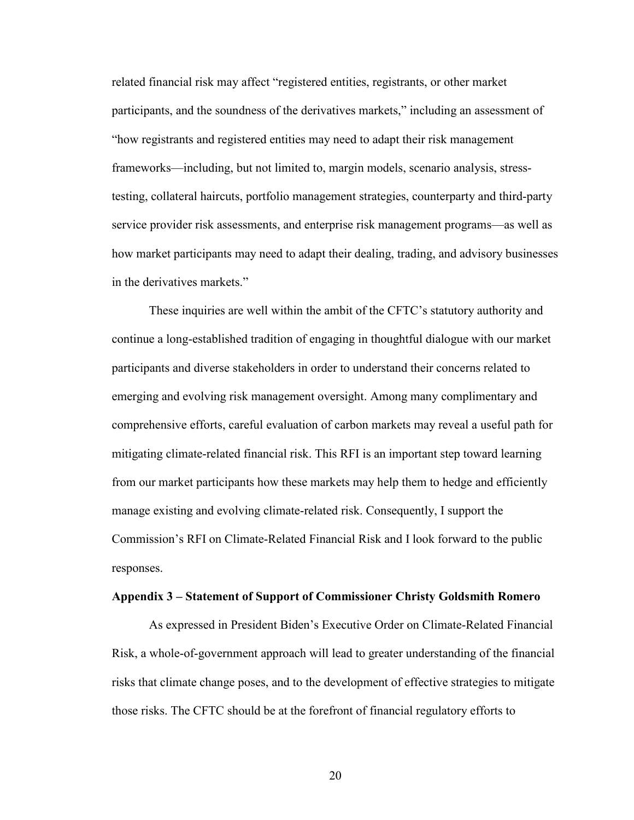related financial risk may affect "registered entities, registrants, or other market participants, and the soundness of the derivatives markets," including an assessment of "how registrants and registered entities may need to adapt their risk management frameworks—including, but not limited to, margin models, scenario analysis, stresstesting, collateral haircuts, portfolio management strategies, counterparty and third-party service provider risk assessments, and enterprise risk management programs—as well as how market participants may need to adapt their dealing, trading, and advisory businesses in the derivatives markets."

These inquiries are well within the ambit of the CFTC's statutory authority and continue a long-established tradition of engaging in thoughtful dialogue with our market participants and diverse stakeholders in order to understand their concerns related to emerging and evolving risk management oversight. Among many complimentary and comprehensive efforts, careful evaluation of carbon markets may reveal a useful path for mitigating climate-related financial risk. This RFI is an important step toward learning from our market participants how these markets may help them to hedge and efficiently manage existing and evolving climate-related risk. Consequently, I support the Commission's RFI on Climate-Related Financial Risk and I look forward to the public responses.

#### **Appendix 3 – Statement of Support of Commissioner Christy Goldsmith Romero**

As expressed in President Biden's Executive Order on Climate-Related Financial Risk, a whole-of-government approach will lead to greater understanding of the financial risks that climate change poses, and to the development of effective strategies to mitigate those risks. The CFTC should be at the forefront of financial regulatory efforts to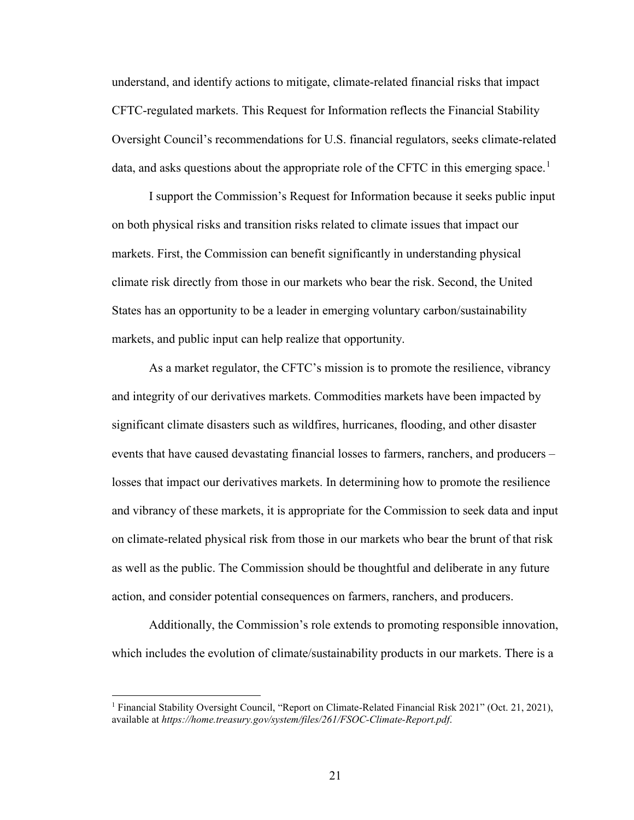understand, and identify actions to mitigate, climate-related financial risks that impact CFTC-regulated markets. This Request for Information reflects the Financial Stability Oversight Council's recommendations for U.S. financial regulators, seeks climate-related data, and asks questions about the appropriate role of the CFTC in this emerging space.<sup>[1](#page-20-0)</sup>

I support the Commission's Request for Information because it seeks public input on both physical risks and transition risks related to climate issues that impact our markets. First, the Commission can benefit significantly in understanding physical climate risk directly from those in our markets who bear the risk. Second, the United States has an opportunity to be a leader in emerging voluntary carbon/sustainability markets, and public input can help realize that opportunity.

As a market regulator, the CFTC's mission is to promote the resilience, vibrancy and integrity of our derivatives markets. Commodities markets have been impacted by significant climate disasters such as wildfires, hurricanes, flooding, and other disaster events that have caused devastating financial losses to farmers, ranchers, and producers – losses that impact our derivatives markets. In determining how to promote the resilience and vibrancy of these markets, it is appropriate for the Commission to seek data and input on climate-related physical risk from those in our markets who bear the brunt of that risk as well as the public. The Commission should be thoughtful and deliberate in any future action, and consider potential consequences on farmers, ranchers, and producers.

Additionally, the Commission's role extends to promoting responsible innovation, which includes the evolution of climate/sustainability products in our markets. There is a

<span id="page-20-0"></span><sup>&</sup>lt;sup>1</sup> Financial Stability Oversight Council, "Report on Climate-Related Financial Risk 2021" (Oct. 21, 2021), available at *https://home.treasury.gov/system/files/261/FSOC-Climate-Report.pdf*.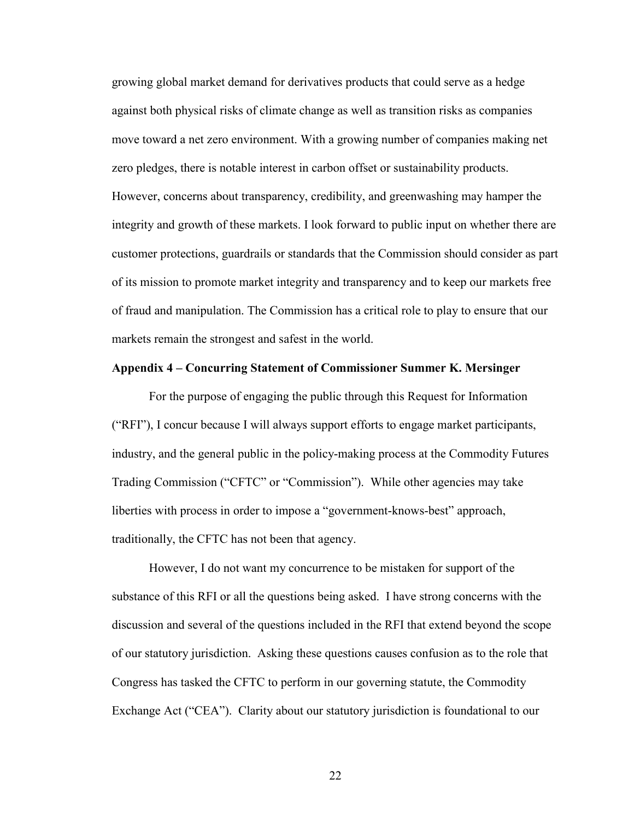growing global market demand for derivatives products that could serve as a hedge against both physical risks of climate change as well as transition risks as companies move toward a net zero environment. With a growing number of companies making net zero pledges, there is notable interest in carbon offset or sustainability products. However, concerns about transparency, credibility, and greenwashing may hamper the integrity and growth of these markets. I look forward to public input on whether there are customer protections, guardrails or standards that the Commission should consider as part of its mission to promote market integrity and transparency and to keep our markets free of fraud and manipulation. The Commission has a critical role to play to ensure that our markets remain the strongest and safest in the world.

#### **Appendix 4 – Concurring Statement of Commissioner Summer K. Mersinger**

For the purpose of engaging the public through this Request for Information ("RFI"), I concur because I will always support efforts to engage market participants, industry, and the general public in the policy-making process at the Commodity Futures Trading Commission ("CFTC" or "Commission"). While other agencies may take liberties with process in order to impose a "government-knows-best" approach, traditionally, the CFTC has not been that agency.

However, I do not want my concurrence to be mistaken for support of the substance of this RFI or all the questions being asked. I have strong concerns with the discussion and several of the questions included in the RFI that extend beyond the scope of our statutory jurisdiction. Asking these questions causes confusion as to the role that Congress has tasked the CFTC to perform in our governing statute, the Commodity Exchange Act ("CEA"). Clarity about our statutory jurisdiction is foundational to our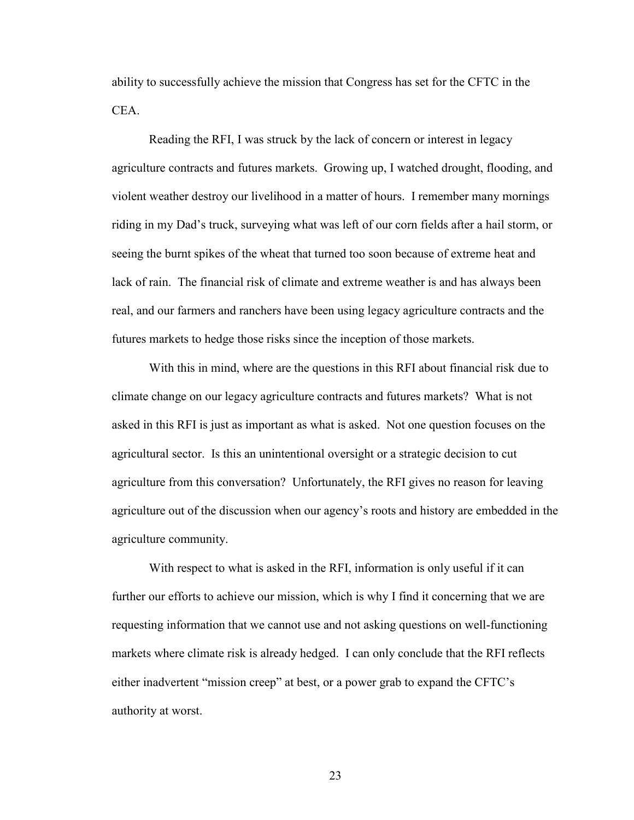ability to successfully achieve the mission that Congress has set for the CFTC in the CEA.

Reading the RFI, I was struck by the lack of concern or interest in legacy agriculture contracts and futures markets. Growing up, I watched drought, flooding, and violent weather destroy our livelihood in a matter of hours. I remember many mornings riding in my Dad's truck, surveying what was left of our corn fields after a hail storm, or seeing the burnt spikes of the wheat that turned too soon because of extreme heat and lack of rain. The financial risk of climate and extreme weather is and has always been real, and our farmers and ranchers have been using legacy agriculture contracts and the futures markets to hedge those risks since the inception of those markets.

With this in mind, where are the questions in this RFI about financial risk due to climate change on our legacy agriculture contracts and futures markets? What is not asked in this RFI is just as important as what is asked. Not one question focuses on the agricultural sector. Is this an unintentional oversight or a strategic decision to cut agriculture from this conversation? Unfortunately, the RFI gives no reason for leaving agriculture out of the discussion when our agency's roots and history are embedded in the agriculture community.

With respect to what is asked in the RFI, information is only useful if it can further our efforts to achieve our mission, which is why I find it concerning that we are requesting information that we cannot use and not asking questions on well-functioning markets where climate risk is already hedged. I can only conclude that the RFI reflects either inadvertent "mission creep" at best, or a power grab to expand the CFTC's authority at worst.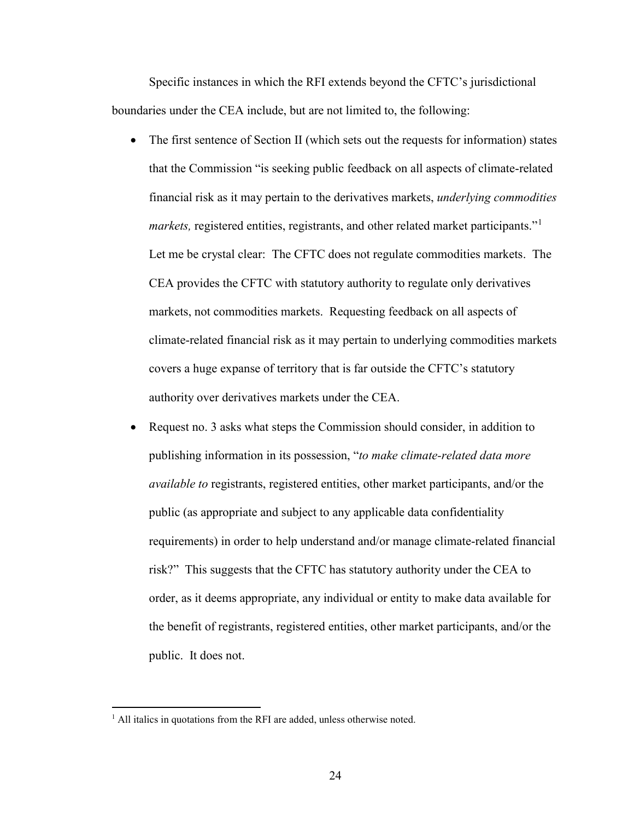Specific instances in which the RFI extends beyond the CFTC's jurisdictional boundaries under the CEA include, but are not limited to, the following:

- The first sentence of Section II (which sets out the requests for information) states that the Commission "is seeking public feedback on all aspects of climate-related financial risk as it may pertain to the derivatives markets, *underlying commodities markets,* registered entities, registrants, and other related market participants."[1](#page-23-0) Let me be crystal clear: The CFTC does not regulate commodities markets. The CEA provides the CFTC with statutory authority to regulate only derivatives markets, not commodities markets. Requesting feedback on all aspects of climate-related financial risk as it may pertain to underlying commodities markets covers a huge expanse of territory that is far outside the CFTC's statutory authority over derivatives markets under the CEA.
- Request no. 3 asks what steps the Commission should consider, in addition to publishing information in its possession, "*to make climate-related data more available to* registrants, registered entities, other market participants, and/or the public (as appropriate and subject to any applicable data confidentiality requirements) in order to help understand and/or manage climate-related financial risk?" This suggests that the CFTC has statutory authority under the CEA to order, as it deems appropriate, any individual or entity to make data available for the benefit of registrants, registered entities, other market participants, and/or the public. It does not.

<span id="page-23-0"></span><sup>&</sup>lt;sup>1</sup> All italics in quotations from the RFI are added, unless otherwise noted.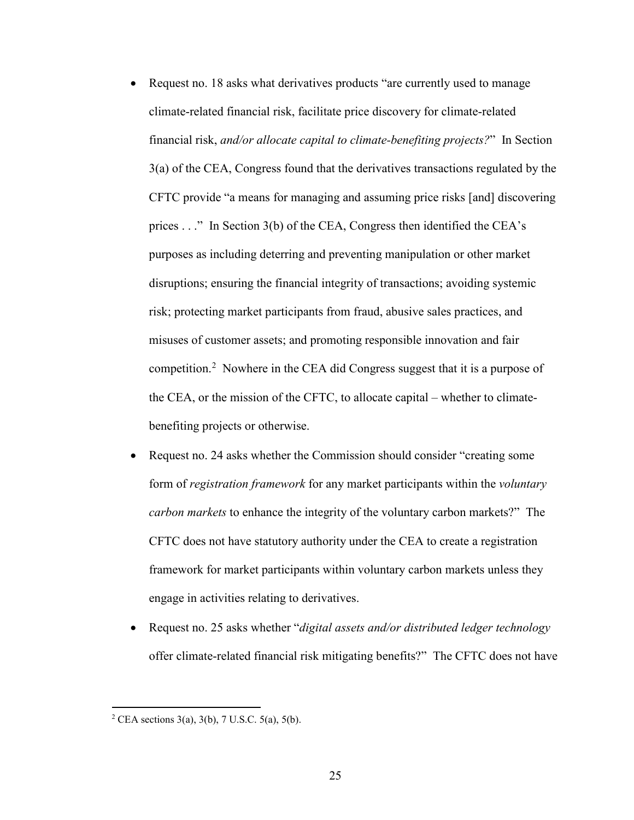- Request no. 18 asks what derivatives products "are currently used to manage climate-related financial risk, facilitate price discovery for climate-related financial risk, *and/or allocate capital to climate-benefiting projects?*" In Section 3(a) of the CEA, Congress found that the derivatives transactions regulated by the CFTC provide "a means for managing and assuming price risks [and] discovering prices . . ." In Section 3(b) of the CEA, Congress then identified the CEA's purposes as including deterring and preventing manipulation or other market disruptions; ensuring the financial integrity of transactions; avoiding systemic risk; protecting market participants from fraud, abusive sales practices, and misuses of customer assets; and promoting responsible innovation and fair competition.<sup>[2](#page-24-0)</sup> Nowhere in the CEA did Congress suggest that it is a purpose of the CEA, or the mission of the CFTC, to allocate capital – whether to climatebenefiting projects or otherwise.
- Request no. 24 asks whether the Commission should consider "creating some form of *registration framework* for any market participants within the *voluntary carbon markets* to enhance the integrity of the voluntary carbon markets?" The CFTC does not have statutory authority under the CEA to create a registration framework for market participants within voluntary carbon markets unless they engage in activities relating to derivatives.
- Request no. 25 asks whether "*digital assets and/or distributed ledger technology*  offer climate-related financial risk mitigating benefits?" The CFTC does not have

<span id="page-24-0"></span><sup>&</sup>lt;sup>2</sup> CEA sections 3(a), 3(b), 7 U.S.C. 5(a), 5(b).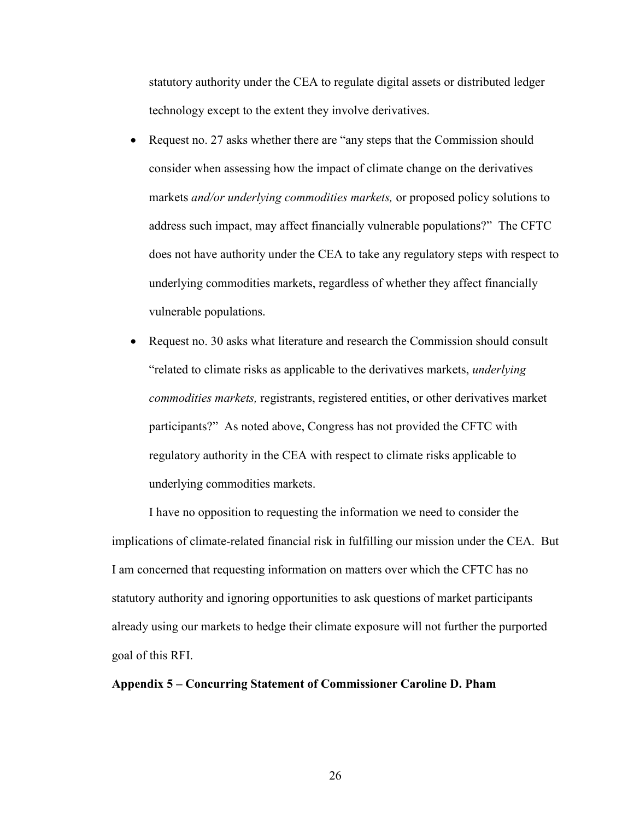statutory authority under the CEA to regulate digital assets or distributed ledger technology except to the extent they involve derivatives.

- Request no. 27 asks whether there are "any steps that the Commission should consider when assessing how the impact of climate change on the derivatives markets *and/or underlying commodities markets,* or proposed policy solutions to address such impact, may affect financially vulnerable populations?" The CFTC does not have authority under the CEA to take any regulatory steps with respect to underlying commodities markets, regardless of whether they affect financially vulnerable populations.
- Request no. 30 asks what literature and research the Commission should consult "related to climate risks as applicable to the derivatives markets, *underlying commodities markets,* registrants, registered entities, or other derivatives market participants?" As noted above, Congress has not provided the CFTC with regulatory authority in the CEA with respect to climate risks applicable to underlying commodities markets.

I have no opposition to requesting the information we need to consider the implications of climate-related financial risk in fulfilling our mission under the CEA. But I am concerned that requesting information on matters over which the CFTC has no statutory authority and ignoring opportunities to ask questions of market participants already using our markets to hedge their climate exposure will not further the purported goal of this RFI.

# **Appendix 5 – Concurring Statement of Commissioner Caroline D. Pham**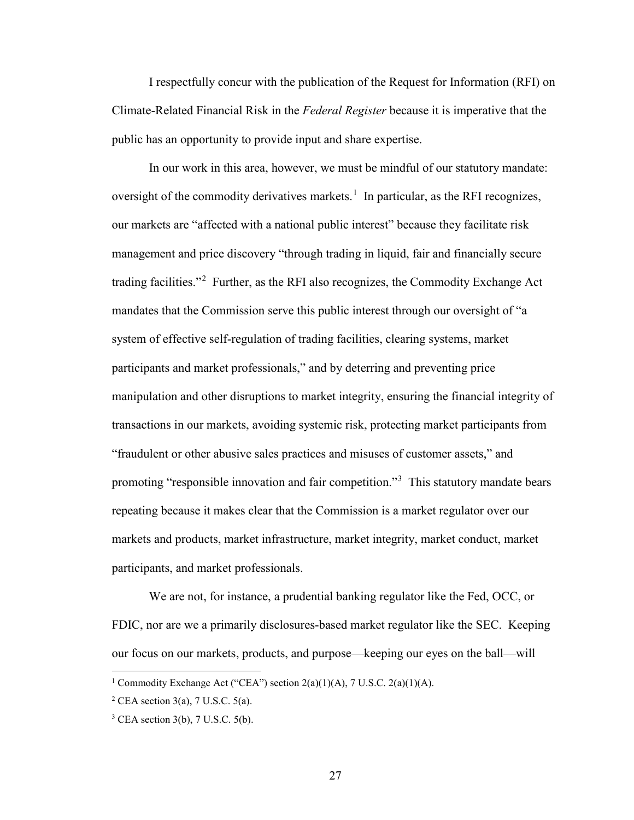I respectfully concur with the publication of the Request for Information (RFI) on Climate-Related Financial Risk in the *Federal Register* because it is imperative that the public has an opportunity to provide input and share expertise.

In our work in this area, however, we must be mindful of our statutory mandate: oversight of the commodity derivatives markets.<sup>[1](#page-26-0)</sup> In particular, as the RFI recognizes, our markets are "affected with a national public interest" because they facilitate risk management and price discovery "through trading in liquid, fair and financially secure trading facilities."<sup>[2](#page-26-1)</sup> Further, as the RFI also recognizes, the Commodity Exchange Act mandates that the Commission serve this public interest through our oversight of "a system of effective self-regulation of trading facilities, clearing systems, market participants and market professionals," and by deterring and preventing price manipulation and other disruptions to market integrity, ensuring the financial integrity of transactions in our markets, avoiding systemic risk, protecting market participants from "fraudulent or other abusive sales practices and misuses of customer assets," and promoting "responsible innovation and fair competition."<sup>[3](#page-26-2)</sup> This statutory mandate bears repeating because it makes clear that the Commission is a market regulator over our markets and products, market infrastructure, market integrity, market conduct, market participants, and market professionals.

We are not, for instance, a prudential banking regulator like the Fed, OCC, or FDIC, nor are we a primarily disclosures-based market regulator like the SEC. Keeping our focus on our markets, products, and purpose—keeping our eyes on the ball—will

<span id="page-26-0"></span><sup>&</sup>lt;sup>1</sup> Commodity Exchange Act ("CEA") section  $2(a)(1)(A)$ , 7 U.S.C.  $2(a)(1)(A)$ .

<span id="page-26-1"></span> $2$  CEA section 3(a), 7 U.S.C. 5(a).

<span id="page-26-2"></span> $3$  CEA section 3(b), 7 U.S.C. 5(b).